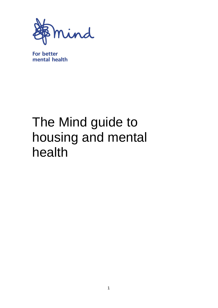

**For better** mental health

# The Mind guide to housing and mental health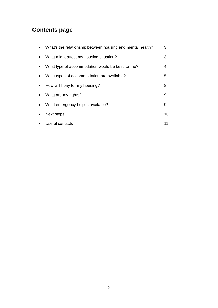## **Contents page**

| What's the relationship between housing and mental health? | 3  |
|------------------------------------------------------------|----|
| What might affect my housing situation?                    | 3  |
| What type of accommodation would be best for me?           | 4  |
| What types of accommodation are available?                 | 5  |
| How will I pay for my housing?                             | 8  |
| What are my rights?                                        | 9  |
| What emergency help is available?                          | 9  |
| Next steps                                                 | 10 |
| Useful contacts                                            | 11 |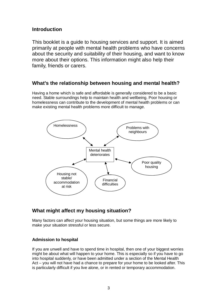## **Introduction**

This booklet is a guide to housing services and support. It is aimed primarily at people with mental health problems who have concerns about the security and suitability of their housing, and want to know more about their options. This information might also help their family, friends or carers.

## **What's the relationship between housing and mental health?**

Having a home which is safe and affordable is generally considered to be a basic need. Stable surroundings help to maintain health and wellbeing. Poor housing or homelessness can contribute to the development of mental health problems or can make existing mental health problems more difficult to manage.



## **What might affect my housing situation?**

Many factors can affect your housing situation, but some things are more likely to make your situation stressful or less secure.

#### **Admission to hospital**

If you are unwell and have to spend time in hospital, then one of your biggest worries might be about what will happen to your home. This is especially so if you have to go into hospital suddenly, or have been admitted under a section of the Mental Health Act – you will not have had a chance to prepare for your home to be looked after. This is particularly difficult if you live alone, or in rented or temporary accommodation.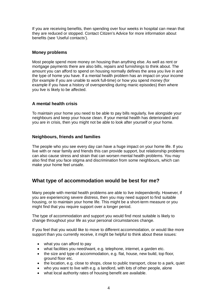If you are receiving benefits, then spending over four weeks in hospital can mean that they are reduced or stopped. Contact Citizen's Advice for more information about benefits (see 'Useful contacts').

#### **Money problems**

Most people spend more money on housing than anything else. As well as rent or mortgage payments there are also bills, repairs and furnishings to think about. The amount you can afford to spend on housing normally defines the area you live in and the type of home you have. If a mental health problem has an impact on your income (for example if you are unable to work full-time) or how you spend money (for example if you have a history of overspending during manic episodes) then where you live is likely to be affected.

#### **A mental health crisis**

To maintain your home you need to be able to pay bills regularly, live alongside your neighbours and keep your house clean. If your mental health has deteriorated and you are in crisis, then you might not be able to look after yourself or your home.

#### **Neighbours, friends and families**

The people who you see every day can have a huge impact on your home life. If you live with or near family and friends this can provide support, but relationship problems can also cause stress and strain that can worsen mental health problems. You may also find that you face stigma and discrimination from some neighbours, which can make your home feel unsafe.

## **What type of accommodation would be best for me?**

Many people with mental health problems are able to live independently. However, if you are experiencing severe distress, then you may need support to find suitable housing, or to maintain your home life. This might be a short-term measure or you might find that you require support over a longer period.

The type of accommodation and support you would find most suitable is likely to change throughout your life as your personal circumstances change.

If you feel that you would like to move to different accommodation, or would like more support than you currently receive, it might be helpful to think about these issues:

- what you can afford to pay
- what facilities you need/want, e.g. telephone, internet, a garden etc.
- the size and type of accommodation, e.g. flat, house, new build, top floor, ground floor etc.
- the location, e.g. close to shops, close to public transport, close to a park, quiet
- who you want to live with e.g. a landlord, with lots of other people, alone
- what local authority rates of housing benefit are available.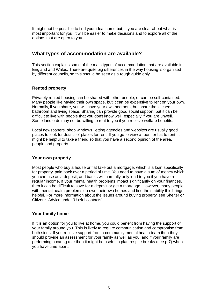It might not be possible to find your ideal home but, if you are clear about what is most important for you, it will be easier to make decisions and to explore all of the options that are open to you.

## **What types of accommodation are available?**

This section explains some of the main types of accommodation that are available in England and Wales. There are quite big differences in the way housing is organised by different councils, so this should be seen as a rough guide only.

### **Rented property**

Privately rented housing can be shared with other people, or can be self-contained. Many people like having their own space, but it can be expensive to rent on your own. Normally, if you share, you will have your own bedroom, but share the kitchen, bathroom and living space. Sharing can provide good social support, but it can be difficult to live with people that you don't know well, especially if you are unwell. Some landlords may not be willing to rent to you if you receive welfare benefits.

Local newspapers, shop windows, letting agencies and websites are usually good places to look for details of places for rent. If you go to view a room or flat to rent, it might be helpful to take a friend so that you have a second opinion of the area, people and property.

#### **Your own property**

Most people who buy a house or flat take out a mortgage, which is a loan specifically for property, paid back over a period of time. You need to have a sum of money which you can use as a deposit, and banks will normally only lend to you if you have a regular income. If your mental health problems impact significantly on your finances, then it can be difficult to save for a deposit or get a mortgage. However, many people with mental health problems do own their own homes and find the stability this brings helpful. For more information about the issues around buying property, see Shelter or Citizen's Advice under 'Useful contacts'.

#### **Your family home**

If it is an option for you to live at home, you could benefit from having the support of your family around you. This is likely to require communication and compromise from both sides. If you receive support from a community mental health team then they should provide an assessment for your family as well as you, and if your family are performing a caring role then it might be useful to plan respite breaks (see p.7) when you have time apart.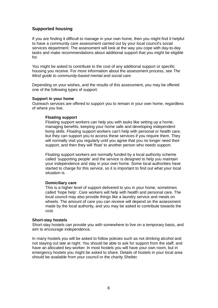#### **Supported housing**

If you are finding it difficult to manage in your own home, then you might find it helpful to have a community care assessment carried out by your local council's social services department. The assessment will look at the way you cope with day-to-day tasks and make recommendations about additional support that you might be eligible for.

You might be asked to contribute to the cost of any additional support or specific housing you receive. For more information about the assessment process, see *The Mind guide to community-based mental and social care*.

Depending on your wishes, and the results of this assessment, you may be offered one of the following types of support:

#### **Support in your home**

Outreach services are offered to support you to remain in your own home, regardless of where you live.

#### **Floating support**

Floating support workers can help you with tasks like setting up a home, managing benefits, keeping your home safe and developing independent living skills. Floating support workers can't help with personal or health care, but they can support you to access these services if you require them. They will normally visit you regularly until you agree that you no longer need their support, and then they will 'float' to another person who needs support.

Floating support workers are normally funded by a local authority scheme called 'supporting people' and the service is designed to help you maintain your independence and stay in your own home. Some local authorities have started to charge for this service, so it is important to find out what your local situation is.

#### **Domiciliary care**

This is a higher level of support delivered to you in your home, sometimes called 'hope help'. Care workers will help with health and personal care. The local council may also provide things like a laundry service and meals on wheels. The amount of care you can receive will depend on the assessment made by the local authority, and you may be asked to contribute towards the cost.

#### **Short-stay hostels**

Short-stay hostels can provide you with somewhere to live on a temporary basis, and aim to encourage independence.

In many hostels you will be asked to follow policies such as not drinking alcohol and not staying out late at night. You should be able to ask for support from the staff, and have an allocated key-worker. In most hostels you will have your own room, but in emergency hostels you might be asked to share. Details of hostels in your local area should be available from your council or the charity Shelter.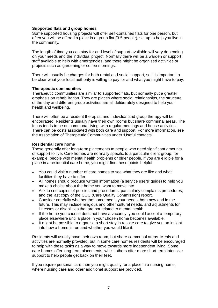#### **Supported flats and group homes**

Some supported housing projects will offer self-contained flats for one person, but often you will be offered a place in a group flat (3-5 people), set up to help you live in the community.

The length of time you can stay for and level of support available will vary depending on your needs and the individual project. Normally there will be a warden or support staff available to help with emergencies, and there might be organised activities or projects such as gardening or coffee mornings.

There will usually be charges for both rental and social support, so it is important to be clear what your local authority is willing to pay for and what you might have to pay.

#### **Therapeutic communities**

Therapeutic communities are similar to supported flats, but normally put a greater emphasis on rehabilitation. They are places where social relationships, the structure of the day and different group activities are all deliberately designed to help your health and wellbeing.

There will often be a resident therapist, and individual and group therapy will be encouraged. Residents usually have their own rooms but share communal areas. The focus tends to be on communal living, with regular meetings and house activities. There can be costs associated with both care and support. For more information, see the Association of Therapeutic Communities under 'Useful contacts'.

#### **Residential care home**

These generally offer long-term placements to people who need significant amounts of support to live. Care homes are normally specific to a particular client group; for example, people with mental health problems or older people. If you are eligible for a place in a residential care home, you might find these points helpful:

- You could visit a number of care homes to see what they are like and what facilities they have to offer.
- All homes should produce written information (a service users' guide) to help you make a choice about the home you want to move into.
- Ask to see copies of policies and procedures, particularly complaints procedures, and the last copy of the CQC (Care Quality Commission) report.
- Consider carefully whether the home meets your needs, both now and in the future. This may include religious and other cultural needs, and adjustments for illnesses or disabilities that are not related to mental health.
- If the home you choose does not have a vacancy, you could accept a temporary place elsewhere until a place in your chosen home becomes available.
- It might be possible to organise a short stay in respite care to give you an insight into how a home is run and whether you would like it.

Residents will usually have their own room, but share communal areas. Meals and activities are normally provided, but in some care homes residents will be encouraged to help with these tasks as a way to move towards more independent living. Some care homes offer long-term placements, whilst others offer more short-term intensive support to help people get back on their feet.

If you require personal care then you might qualify for a place in a nursing home, where nursing care and other additional support are provided.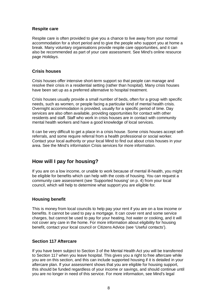#### **Respite care**

Respite care is often provided to give you a chance to live away from your normal accommodation for a short period and to give the people who support you at home a break. Many voluntary organisations provide respite care opportunities, and it can also be recommended as part of your care assessment. See Mind's online resource page *Holidays.*

#### **Crisis houses**

Crisis houses offer intensive short-term support so that people can manage and resolve their crisis in a residential setting (rather than hospital). Many crisis houses have been set up as a preferred alternative to hospital treatment.

Crisis houses usually provide a small number of beds, often for a group with specific needs, such as women, or people facing a particular kind of mental health crisis. Overnight accommodation is provided, usually for a specific period of time. Day services are also often available, providing opportunities for contact with other residents and staff. Staff who work in crisis houses are in contact with community mental health workers and have a good knowledge of local services.

It can be very difficult to get a place in a crisis house. Some crisis houses accept selfreferrals, and some require referral from a health professional or social worker. Contact your local authority or your local Mind to find out about crisis houses in your area. See the Mind's information Crisis services for more information.

## **How will I pay for housing?**

If you are on a low income, or unable to work because of mental ill-health, you might be eligible for benefits which can help with the costs of housing. You can request a community care assessment (see 'Supported housing' on p. 4) from your local council, which will help to determine what support you are eligible for.

#### **Housing benefit**

This is money from local councils to help pay your rent if you are on a low income or benefits. It cannot be used to pay a mortgage. It can cover rent and some service charges, but cannot be used to pay for your heating, hot water or cooking, and it will not cover any care in the home. For more information about eligibility for housing benefit, contact your local council or Citizens Advice (see 'Useful contacts').

#### **Section 117 Aftercare**

If you have been subject to Section 3 of the Mental Health Act you will be transferred to Section 117 when you leave hospital. This gives you a right to free aftercare while you are on this section, and this can include supported housing if it is detailed in your aftercare plan. If your assessment shows that you are eligible for housing support, this should be funded regardless of your income or savings, and should continue until you are no longer in need of this service. For more information, see Mind's legal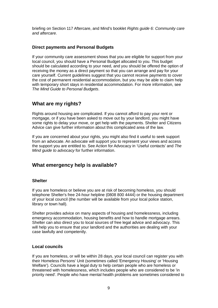briefing on Section 117 Aftercare, and Mind's booklet *Rights guide 6: Community care and aftercare.*

#### **Direct payments and Personal Budgets**

If your community care assessment shows that you are eligible for support from your local council, you should have a Personal Budget allocated to you. This budget should be calculated according to your need, and you should be offered the option of receiving the money as a direct payment so that you can arrange and pay for your care yourself. Current guidelines suggest that you cannot receive payments to cover the cost of permanent residential accommodation, but you may be able to claim help with temporary short stays in residential accommodation. For more information, see *The Mind Guide to Personal Budgets*.

## **What are my rights?**

Rights around housing are complicated. If you cannot afford to pay your rent or mortgage, or if you have been asked to move out by your landlord, you might have some rights to delay your move, or get help with the payments. Shelter and Citizens Advice can give further information about this complicated area of the law.

If you are concerned about your rights, you might also find it useful to seek support from an advocate. An advocate will support you to represent your views and access the support you are entitled to. See Action for Advocacy in 'Useful contacts' and *The Mind guide to advocacy* for further information.

## **What emergency help is available?**

#### **Shelter**

If you are homeless or believe you are at risk of becoming homeless, you should telephone Shelter's free 24-hour helpline (0808 800 4444) or the housing department of your local council (the number will be available from your local police station, library or town hall).

Shelter provides advice on many aspects of housing and homelessness, including emergency accommodation, housing benefits and how to handle mortgage arrears. Shelter can also direct you to local sources of free legal advice and advocacy. This will help you to ensure that your landlord and the authorities are dealing with your case lawfully and competently.

#### **Local councils**

If you are homeless, or will be within 28 days, your local council can register you with their Homeless Persons' Unit (sometimes called 'Emergency Housing' or 'Housing Welfare'). Councils have a legal duty to help certain people who are homeless or threatened with homelessness, which includes people who are considered to be 'in priority need'. People who have mental health problems are sometimes considered to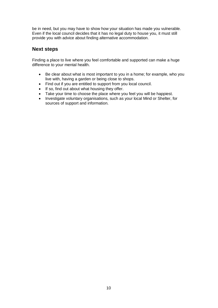be in need, but you may have to show how your situation has made you vulnerable. Even if the local council decides that it has no legal duty to house you, it must still provide you with advice about finding alternative accommodation.

## **Next steps**

Finding a place to live where you feel comfortable and supported can make a huge difference to your mental health.

- Be clear about what is most important to you in a home; for example, who you live with, having a garden or being close to shops.
- Find out if you are entitled to support from you local council.
- If so, find out about what housing they offer.
- Take your time to choose the place where you feel you will be happiest.
- Investigate voluntary organisations, such as your local Mind or Shelter, for sources of support and information.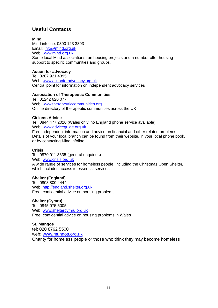## **Useful Contacts**

#### **Mind**

Mind infoline: 0300 123 3393 Email: info@mind.org.uk Web: www.mind.org.uk Some local Mind associations run housing projects and a number offer housing support to specific communities and groups.

#### **Action for advocacy**

Tel: 0207 921 4395 Web: www.actionforadvocacy.org.uk Central point for information on independent advocacy services

#### **Association of Therapeutic Communities**

Tel: 01242 620 077 Web: www.therapeuticcommunities.org Online directory of therapeutic communities across the UK

#### **Citizens Advice**

Tel: 0844 477 2020 (Wales only, no England phone service available) Web: www.adviceguide.org.uk Free independent information and advice on financial and other related problems. Details of your local branch can be found from their website, in your local phone book, or by contacting Mind infoline.

#### **Crisis**

Tel: 0870 011 3335 (general enquiries) Web: www.crisis.org.uk A wide range of services for homeless people, including the Christmas Open Shelter, which includes access to essential services.

#### **Shelter (England)**

Tel: 0808 800 4444 Web: http://england.shelter.org.uk Free, confidential advice on housing problems.

#### **Shelter (Cymru)**

Tel: 0845 075 5005 Web: www.sheltercymru.org.uk Free, confidential advice on housing problems in Wales

#### **St. Mungos**

tel: 020 8762 5500 web: www.mungos.org.uk Charity for homeless people or those who think they may become homeless